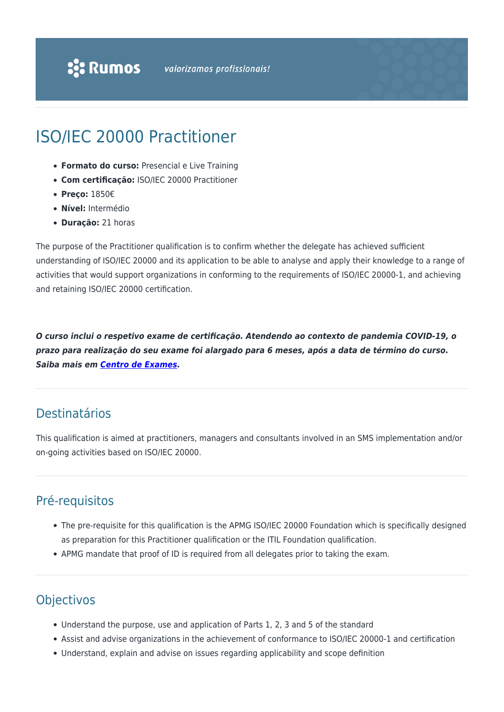# ISO/IEC 20000 Practitioner

- **Formato do curso:** Presencial e Live Training
- **Com certificação:** ISO/IEC 20000 Practitioner
- **Preço:** 1850€
- **Nível:** Intermédio
- **Duração:** 21 horas

The purpose of the Practitioner qualification is to confirm whether the delegate has achieved sufficient understanding of ISO/IEC 20000 and its application to be able to analyse and apply their knowledge to a range of activities that would support organizations in conforming to the requirements of ISO/IEC 20000-1, and achieving and retaining ISO/IEC 20000 certification.

*O curso inclui o respetivo exame de certificação. Atendendo ao contexto de pandemia COVID-19, o prazo para realização do seu exame foi alargado para 6 meses, após a data de término do curso. Saiba mais em [Centro de Exames](https://rumos.pt/formacao/centro-de-exames-de-certificacao/#prazos).*

#### Destinatários

This qualification is aimed at practitioners, managers and consultants involved in an SMS implementation and/or on-going activities based on ISO/IEC 20000.

## Pré-requisitos

- The pre-requisite for this qualification is the APMG ISO/IEC 20000 Foundation which is specifically designed as preparation for this Practitioner qualification or the ITIL Foundation qualification.
- APMG mandate that proof of ID is required from all delegates prior to taking the exam.

## **Objectivos**

- Understand the purpose, use and application of Parts 1, 2, 3 and 5 of the standard
- Assist and advise organizations in the achievement of conformance to ISO/IEC 20000-1 and certification
- Understand, explain and advise on issues regarding applicability and scope definition